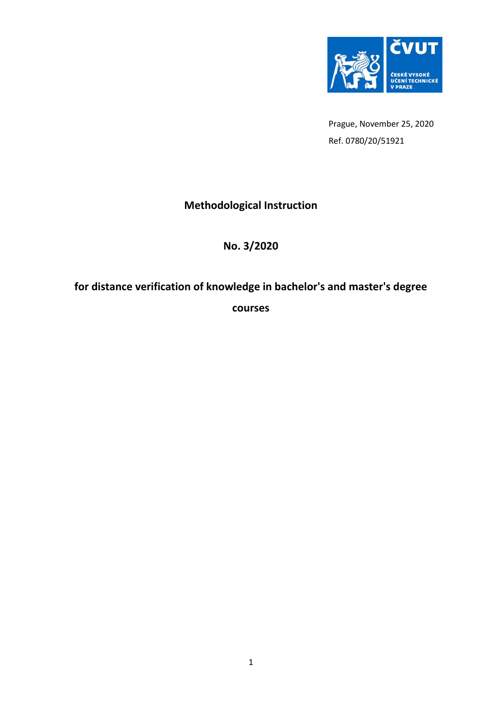

Prague, November 25, 2020 Ref. 0780/20/51921

# **Methodological Instruction**

## **No. 3/2020**

# **for distance verification of knowledge in bachelor's and master's degree**

**courses**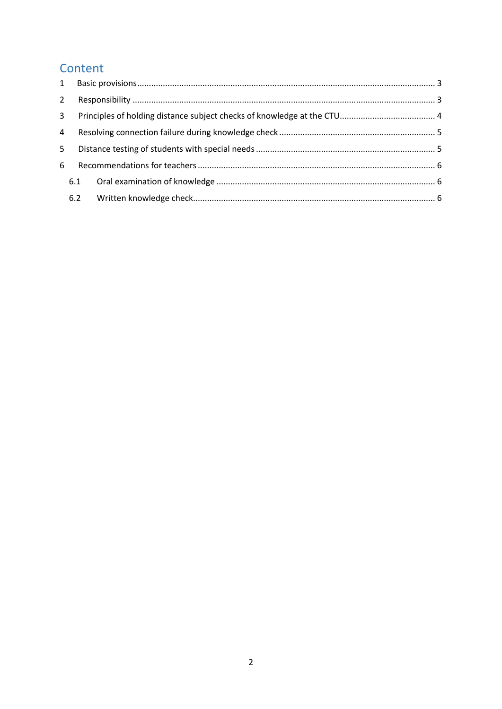# Content

| $2^{\circ}$    |     |  |
|----------------|-----|--|
| 3 <sup>7</sup> |     |  |
| 4              |     |  |
| 5              |     |  |
| 6              |     |  |
|                | 6.1 |  |
|                | 6.2 |  |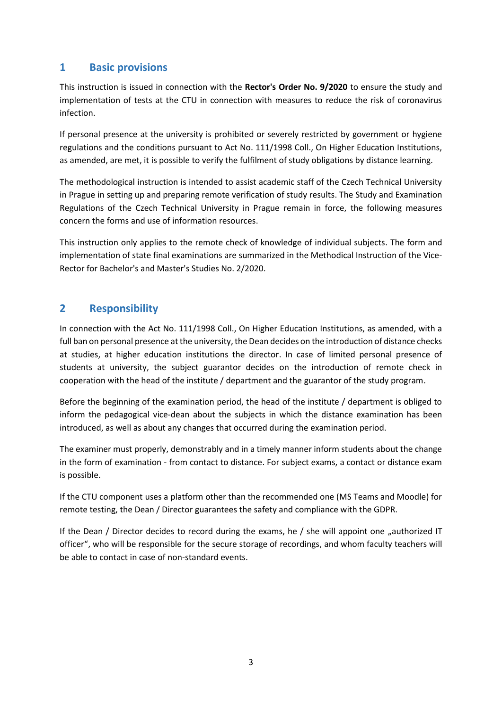#### <span id="page-2-0"></span>**1 Basic provisions**

This instruction is issued in connection with the **Rector's Order No. 9/2020** to ensure the study and implementation of tests at the CTU in connection with measures to reduce the risk of coronavirus infection.

If personal presence at the university is prohibited or severely restricted by government or hygiene regulations and the conditions pursuant to Act No. 111/1998 Coll., On Higher Education Institutions, as amended, are met, it is possible to verify the fulfilment of study obligations by distance learning.

The methodological instruction is intended to assist academic staff of the Czech Technical University in Prague in setting up and preparing remote verification of study results. The Study and Examination Regulations of the Czech Technical University in Prague remain in force, the following measures concern the forms and use of information resources.

This instruction only applies to the remote check of knowledge of individual subjects. The form and implementation of state final examinations are summarized in the Methodical Instruction of the Vice-Rector for Bachelor's and Master's Studies No. 2/2020.

### <span id="page-2-1"></span>**2 Responsibility**

In connection with the Act No. 111/1998 Coll., On Higher Education Institutions, as amended, with a full ban on personal presence at the university, the Dean decides on the introduction of distance checks at studies, at higher education institutions the director. In case of limited personal presence of students at university, the subject guarantor decides on the introduction of remote check in cooperation with the head of the institute / department and the guarantor of the study program.

Before the beginning of the examination period, the head of the institute / department is obliged to inform the pedagogical vice-dean about the subjects in which the distance examination has been introduced, as well as about any changes that occurred during the examination period.

The examiner must properly, demonstrably and in a timely manner inform students about the change in the form of examination - from contact to distance. For subject exams, a contact or distance exam is possible.

If the CTU component uses a platform other than the recommended one (MS Teams and Moodle) for remote testing, the Dean / Director guarantees the safety and compliance with the GDPR.

If the Dean / Director decides to record during the exams, he / she will appoint one "authorized IT officer", who will be responsible for the secure storage of recordings, and whom faculty teachers will be able to contact in case of non-standard events.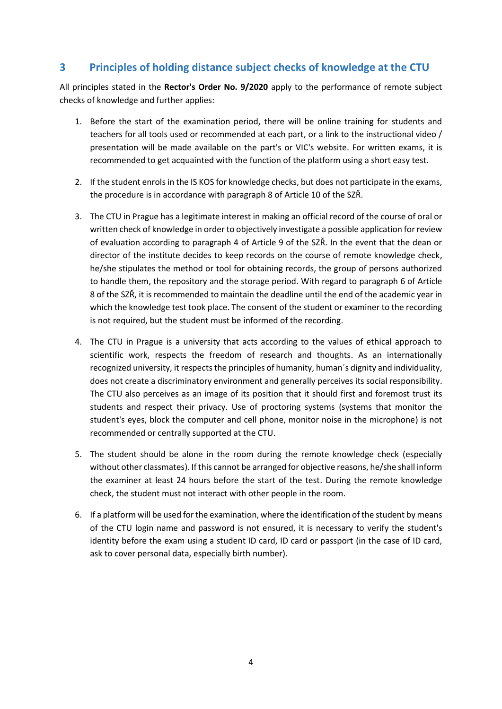## <span id="page-3-0"></span>**3 Principles of holding distance subject checks of knowledge at the CTU**

All principles stated in the **Rector's Order No. 9/2020** apply to the performance of remote subject checks of knowledge and further applies:

- 1. Before the start of the examination period, there will be online training for students and teachers for all tools used or recommended at each part, or a link to the instructional video / presentation will be made available on the part's or VIC's website. For written exams, it is recommended to get acquainted with the function of the platform using a short easy test.
- 2. If the student enrols in the IS KOS for knowledge checks, but does not participate in the exams, the procedure is in accordance with paragraph 8 of Article 10 of the SZŘ.
- 3. The CTU in Prague has a legitimate interest in making an official record of the course of oral or written check of knowledge in order to objectively investigate a possible application for review of evaluation according to paragraph 4 of Article 9 of the SZŘ. In the event that the dean or director of the institute decides to keep records on the course of remote knowledge check, he/she stipulates the method or tool for obtaining records, the group of persons authorized to handle them, the repository and the storage period. With regard to paragraph 6 of Article 8 of the SZŘ, it is recommended to maintain the deadline until the end of the academic year in which the knowledge test took place. The consent of the student or examiner to the recording is not required, but the student must be informed of the recording.
- 4. The CTU in Prague is a university that acts according to the values of ethical approach to scientific work, respects the freedom of research and thoughts. As an internationally recognized university, it respects the principles of humanity, human´s dignity and individuality, does not create a discriminatory environment and generally perceives its social responsibility. The CTU also perceives as an image of its position that it should first and foremost trust its students and respect their privacy. Use of proctoring systems (systems that monitor the student's eyes, block the computer and cell phone, monitor noise in the microphone) is not recommended or centrally supported at the CTU.
- 5. The student should be alone in the room during the remote knowledge check (especially without other classmates). If this cannot be arranged for objective reasons, he/she shall inform the examiner at least 24 hours before the start of the test. During the remote knowledge check, the student must not interact with other people in the room.
- 6. If a platform will be used for the examination, where the identification of the student by means of the CTU login name and password is not ensured, it is necessary to verify the student's identity before the exam using a student ID card, ID card or passport (in the case of ID card, ask to cover personal data, especially birth number).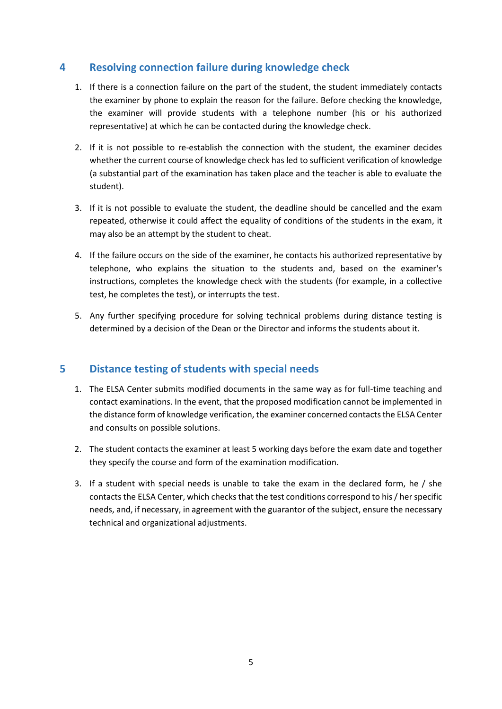#### <span id="page-4-0"></span>**4 Resolving connection failure during knowledge check**

- 1. If there is a connection failure on the part of the student, the student immediately contacts the examiner by phone to explain the reason for the failure. Before checking the knowledge, the examiner will provide students with a telephone number (his or his authorized representative) at which he can be contacted during the knowledge check.
- 2. If it is not possible to re-establish the connection with the student, the examiner decides whether the current course of knowledge check has led to sufficient verification of knowledge (a substantial part of the examination has taken place and the teacher is able to evaluate the student).
- 3. If it is not possible to evaluate the student, the deadline should be cancelled and the exam repeated, otherwise it could affect the equality of conditions of the students in the exam, it may also be an attempt by the student to cheat.
- 4. If the failure occurs on the side of the examiner, he contacts his authorized representative by telephone, who explains the situation to the students and, based on the examiner's instructions, completes the knowledge check with the students (for example, in a collective test, he completes the test), or interrupts the test.
- 5. Any further specifying procedure for solving technical problems during distance testing is determined by a decision of the Dean or the Director and informs the students about it.

#### <span id="page-4-1"></span>**5 Distance testing of students with special needs**

- 1. The ELSA Center submits modified documents in the same way as for full-time teaching and contact examinations. In the event, that the proposed modification cannot be implemented in the distance form of knowledge verification, the examiner concerned contacts the ELSA Center and consults on possible solutions.
- 2. The student contacts the examiner at least 5 working days before the exam date and together they specify the course and form of the examination modification.
- 3. If a student with special needs is unable to take the exam in the declared form, he / she contacts the ELSA Center, which checks that the test conditions correspond to his / her specific needs, and, if necessary, in agreement with the guarantor of the subject, ensure the necessary technical and organizational adjustments.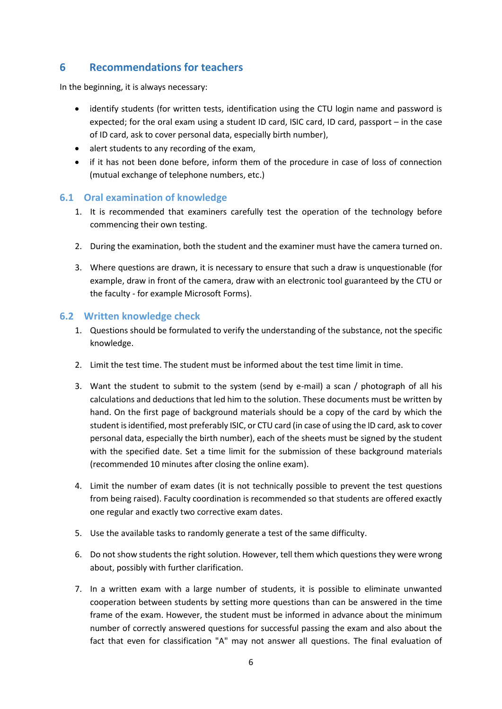### <span id="page-5-0"></span>**6 Recommendations for teachers**

In the beginning, it is always necessary:

- identify students (for written tests, identification using the CTU login name and password is expected; for the oral exam using a student ID card, ISIC card, ID card, passport – in the case of ID card, ask to cover personal data, especially birth number),
- alert students to any recording of the exam,
- if it has not been done before, inform them of the procedure in case of loss of connection (mutual exchange of telephone numbers, etc.)

#### <span id="page-5-1"></span>**6.1 Oral examination of knowledge**

- 1. It is recommended that examiners carefully test the operation of the technology before commencing their own testing.
- 2. During the examination, both the student and the examiner must have the camera turned on.
- 3. Where questions are drawn, it is necessary to ensure that such a draw is unquestionable (for example, draw in front of the camera, draw with an electronic tool guaranteed by the CTU or the faculty - for example Microsoft Forms).

#### <span id="page-5-2"></span>**6.2 Written knowledge check**

- 1. Questions should be formulated to verify the understanding of the substance, not the specific knowledge.
- 2. Limit the test time. The student must be informed about the test time limit in time.
- 3. Want the student to submit to the system (send by e-mail) a scan / photograph of all his calculations and deductions that led him to the solution. These documents must be written by hand. On the first page of background materials should be a copy of the card by which the student is identified, most preferably ISIC, or CTU card (in case of using the ID card, ask to cover personal data, especially the birth number), each of the sheets must be signed by the student with the specified date. Set a time limit for the submission of these background materials (recommended 10 minutes after closing the online exam).
- 4. Limit the number of exam dates (it is not technically possible to prevent the test questions from being raised). Faculty coordination is recommended so that students are offered exactly one regular and exactly two corrective exam dates.
- 5. Use the available tasks to randomly generate a test of the same difficulty.
- 6. Do not show students the right solution. However, tell them which questions they were wrong about, possibly with further clarification.
- 7. In a written exam with a large number of students, it is possible to eliminate unwanted cooperation between students by setting more questions than can be answered in the time frame of the exam. However, the student must be informed in advance about the minimum number of correctly answered questions for successful passing the exam and also about the fact that even for classification "A" may not answer all questions. The final evaluation of